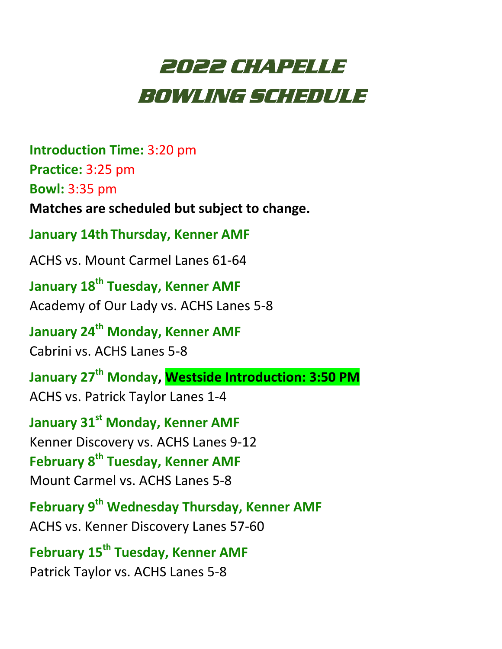## 2022 CHAPELLE BOWLING SCHEDULE

**Introduction Time:** 3:20 pm **Practice:** 3:25 pm **Bowl:** 3:35 pm **Matches are scheduled but subject to change. January 14th Thursday, Kenner AMF** ACHS vs. Mount Carmel Lanes 61-64 **January 18th Tuesday, Kenner AMF** Academy of Our Lady vs. ACHS Lanes 5-8 **January 24th Monday, Kenner AMF** Cabrini vs. ACHS Lanes 5-8 **January 27th Monday, Westside Introduction: 3:50 PM** ACHS vs. Patrick Taylor Lanes 1-4 **January 31st Monday, Kenner AMF** Kenner Discovery vs. ACHS Lanes 9-12 **February 8 th Tuesday, Kenner AMF** Mount Carmel vs. ACHS Lanes 5-8 **February 9 th Wednesday Thursday, Kenner AMF** ACHS vs. Kenner Discovery Lanes 57-60 **February 15th Tuesday, Kenner AMF** Patrick Taylor vs. ACHS Lanes 5-8